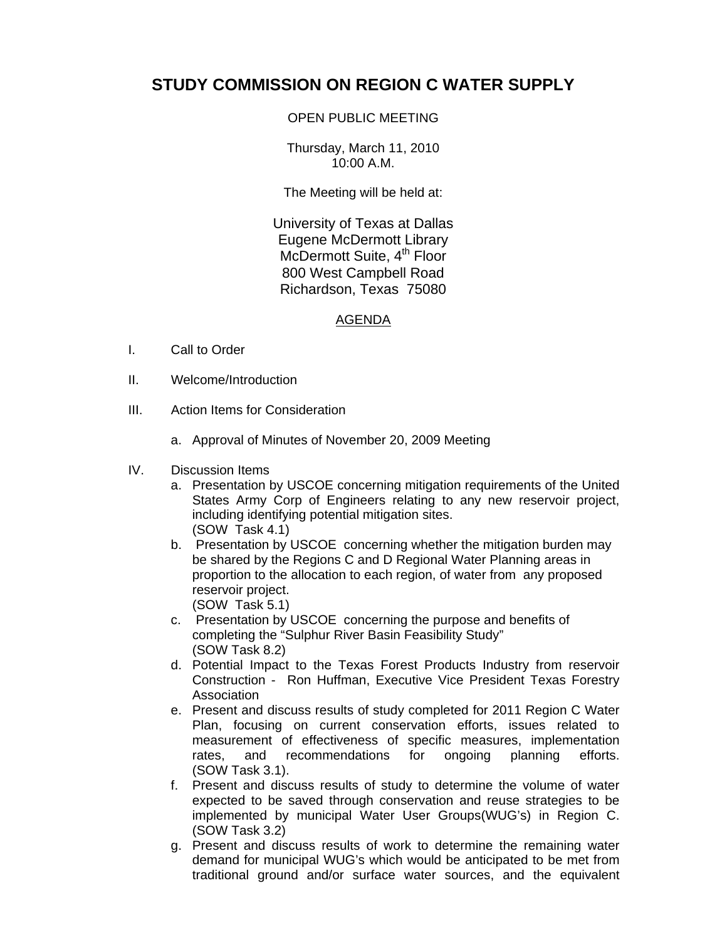## **STUDY COMMISSION ON REGION C WATER SUPPLY**

## OPEN PUBLIC MEETING

Thursday, March 11, 2010 10:00 A.M.

The Meeting will be held at:

University of Texas at Dallas Eugene McDermott Library McDermott Suite, 4<sup>th</sup> Floor 800 West Campbell Road Richardson, Texas 75080

## AGENDA

- I. Call to Order
- II. Welcome/Introduction
- III. Action Items for Consideration
	- a. Approval of Minutes of November 20, 2009 Meeting
- IV. Discussion Items
	- a. Presentation by USCOE concerning mitigation requirements of the United States Army Corp of Engineers relating to any new reservoir project, including identifying potential mitigation sites. (SOW Task 4.1)
	- b. Presentation by USCOE concerning whether the mitigation burden may be shared by the Regions C and D Regional Water Planning areas in proportion to the allocation to each region, of water from any proposed reservoir project. (SOW Task 5.1)
	- c. Presentation by USCOE concerning the purpose and benefits of completing the "Sulphur River Basin Feasibility Study" (SOW Task 8.2)
	- d. Potential Impact to the Texas Forest Products Industry from reservoir Construction - Ron Huffman, Executive Vice President Texas Forestry Association
	- e. Present and discuss results of study completed for 2011 Region C Water Plan, focusing on current conservation efforts, issues related to measurement of effectiveness of specific measures, implementation rates, and recommendations for ongoing planning efforts. (SOW Task 3.1).
	- f. Present and discuss results of study to determine the volume of water expected to be saved through conservation and reuse strategies to be implemented by municipal Water User Groups(WUG's) in Region C. (SOW Task 3.2)
	- g. Present and discuss results of work to determine the remaining water demand for municipal WUG's which would be anticipated to be met from traditional ground and/or surface water sources, and the equivalent